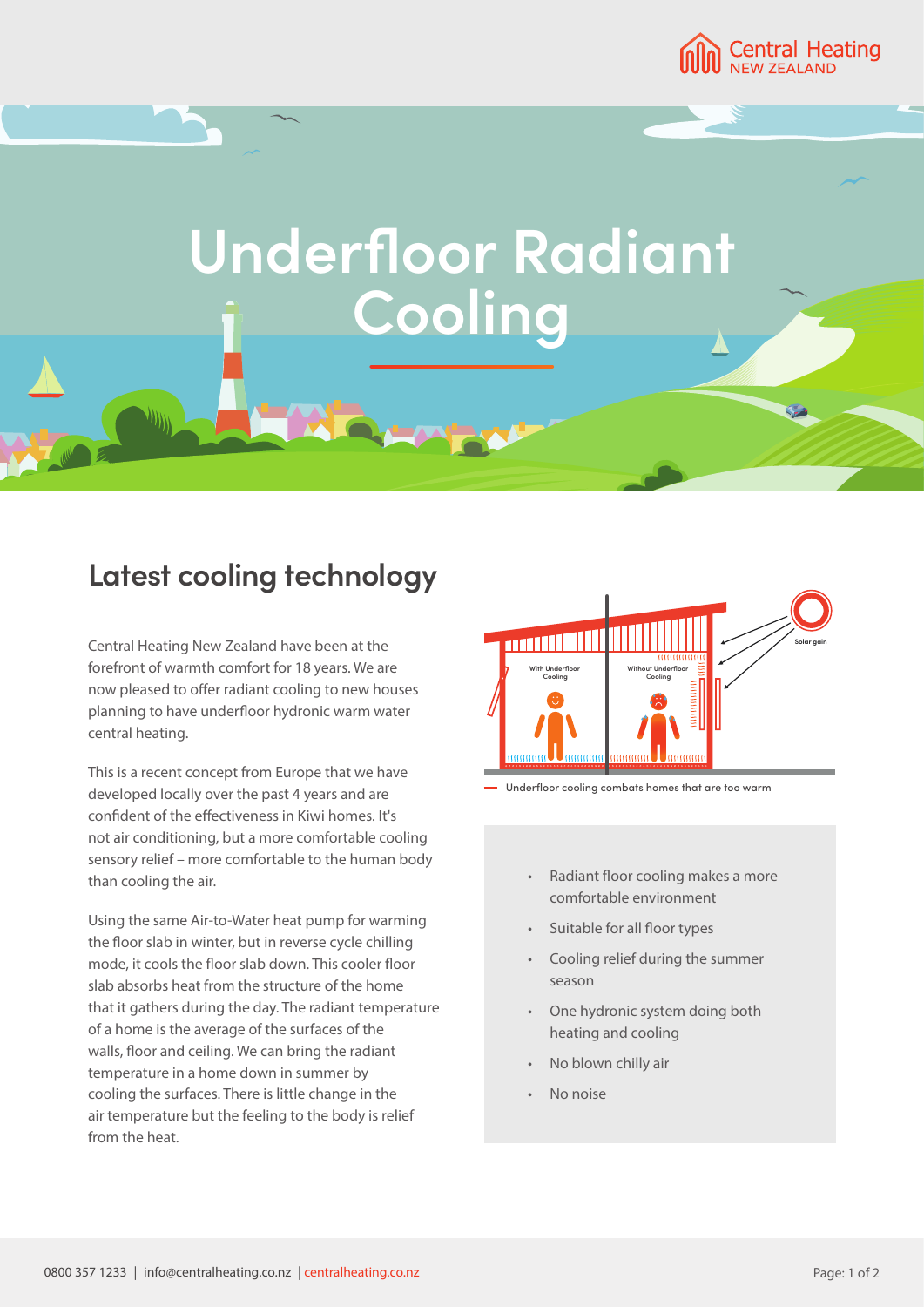

## **Underfloor Radiant Cooling**

## **Latest cooling technology**

Central Heating New Zealand have been at the forefront of warmth comfort for 18 years. We are now pleased to offer radiant cooling to new houses planning to have underfloor hydronic warm water central heating.

This is a recent concept from Europe that we have developed locally over the past 4 years and are confident of the effectiveness in Kiwi homes. It's not air conditioning, but a more comfortable cooling sensory relief – more comfortable to the human body than cooling the air.

Using the same Air-to-Water heat pump for warming the floor slab in winter, but in reverse cycle chilling mode, it cools the floor slab down. This cooler floor slab absorbs heat from the structure of the home that it gathers during the day. The radiant temperature of a home is the average of the surfaces of the walls, floor and ceiling. We can bring the radiant temperature in a home down in summer by cooling the surfaces. There is little change in the air temperature but the feeling to the body is relief from the heat.





- Radiant floor cooling makes a more comfortable environment
- Suitable for all floor types
- Cooling relief during the summer season
- One hydronic system doing both heating and cooling
- No blown chilly air
- No noise